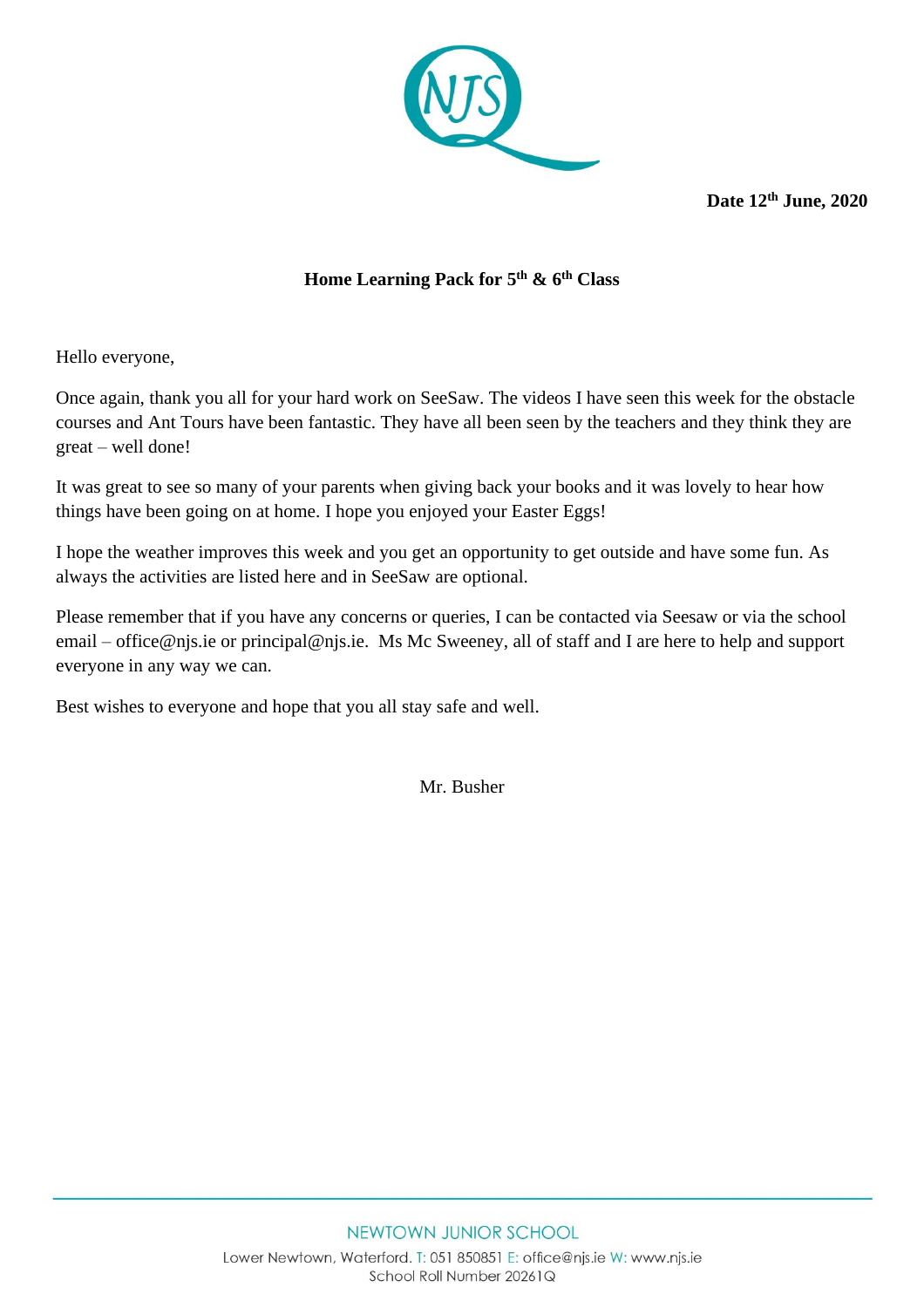

**Date 12th June, 2020**

## **Home Learning Pack for 5 th & 6th Class**

Hello everyone,

Once again, thank you all for your hard work on SeeSaw. The videos I have seen this week for the obstacle courses and Ant Tours have been fantastic. They have all been seen by the teachers and they think they are great – well done!

It was great to see so many of your parents when giving back your books and it was lovely to hear how things have been going on at home. I hope you enjoyed your Easter Eggs!

I hope the weather improves this week and you get an opportunity to get outside and have some fun. As always the activities are listed here and in SeeSaw are optional.

Please remember that if you have any concerns or queries, I can be contacted via Seesaw or via the school email – [office@njs.ie](mailto:office@njs.ie) or [principal@njs.ie.](mailto:principal@njs.ie) Ms Mc Sweeney, all of staff and I are here to help and support everyone in any way we can.

Best wishes to everyone and hope that you all stay safe and well.

Mr. Busher